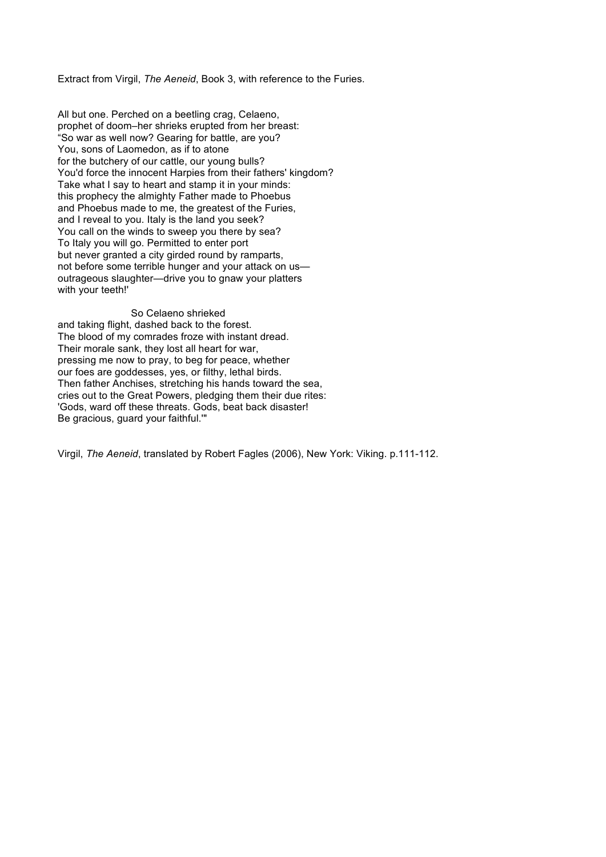Extract from Virgil, *The Aeneid*, Book 3, with reference to the Furies.

All but one. Perched on a beetling crag, Celaeno, prophet of doom–her shrieks erupted from her breast: "So war as well now? Gearing for battle, are you? You, sons of Laomedon, as if to atone for the butchery of our cattle, our young bulls? You'd force the innocent Harpies from their fathers' kingdom? Take what I say to heart and stamp it in your minds: this prophecy the almighty Father made to Phoebus and Phoebus made to me, the greatest of the Furies, and I reveal to you. Italy is the land you seek? You call on the winds to sweep you there by sea? To Italy you will go. Permitted to enter port but never granted a city girded round by ramparts, not before some terrible hunger and your attack on us outrageous slaughter—drive you to gnaw your platters with your teeth!'

So Celaeno shrieked and taking flight, dashed back to the forest. The blood of my comrades froze with instant dread. Their morale sank, they lost all heart for war, pressing me now to pray, to beg for peace, whether our foes are goddesses, yes, or filthy, lethal birds. Then father Anchises, stretching his hands toward the sea, cries out to the Great Powers, pledging them their due rites: 'Gods, ward off these threats. Gods, beat back disaster! Be gracious, guard your faithful.'"

Virgil, *The Aeneid*, translated by Robert Fagles (2006), New York: Viking. p.111-112.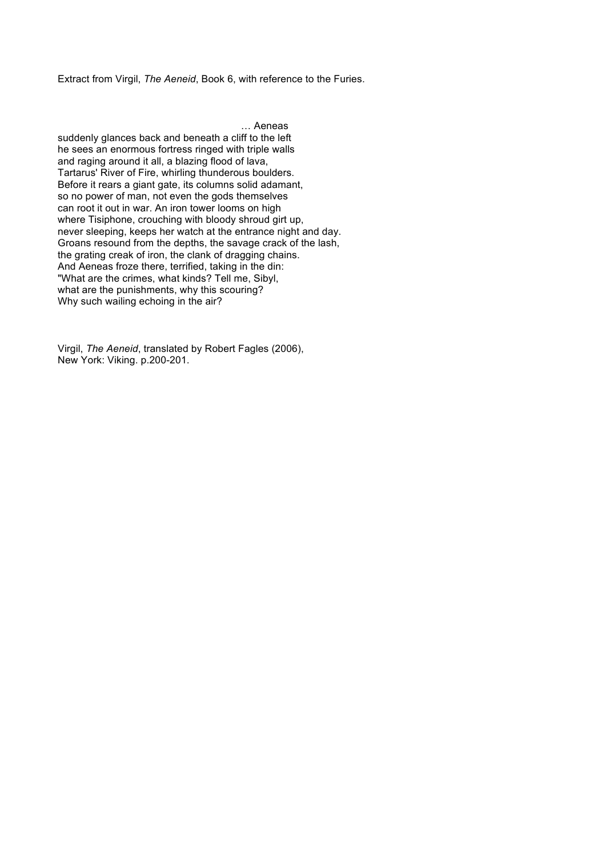Extract from Virgil, *The Aeneid*, Book 6, with reference to the Furies.

… Aeneas suddenly glances back and beneath a cliff to the left he sees an enormous fortress ringed with triple walls and raging around it all, a blazing flood of lava, Tartarus' River of Fire, whirling thunderous boulders. Before it rears a giant gate, its columns solid adamant, so no power of man, not even the gods themselves can root it out in war. An iron tower looms on high where Tisiphone, crouching with bloody shroud girt up. never sleeping, keeps her watch at the entrance night and day. Groans resound from the depths, the savage crack of the lash, the grating creak of iron, the clank of dragging chains. And Aeneas froze there, terrified, taking in the din: "What are the crimes, what kinds? Tell me, Sibyl, what are the punishments, why this scouring? Why such wailing echoing in the air?

Virgil, *The Aeneid*, translated by Robert Fagles (2006), New York: Viking. p.200-201.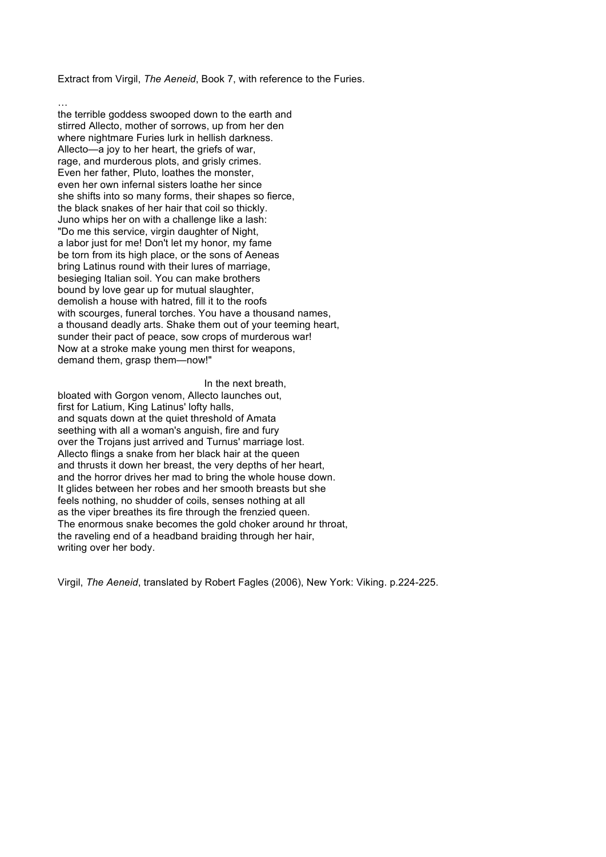Extract from Virgil, *The Aeneid*, Book 7, with reference to the Furies.

…

the terrible goddess swooped down to the earth and stirred Allecto, mother of sorrows, up from her den where nightmare Furies lurk in hellish darkness. Allecto—a joy to her heart, the griefs of war, rage, and murderous plots, and grisly crimes. Even her father, Pluto, loathes the monster, even her own infernal sisters loathe her since she shifts into so many forms, their shapes so fierce, the black snakes of her hair that coil so thickly. Juno whips her on with a challenge like a lash: "Do me this service, virgin daughter of Night, a labor just for me! Don't let my honor, my fame be torn from its high place, or the sons of Aeneas bring Latinus round with their lures of marriage, besieging Italian soil. You can make brothers bound by love gear up for mutual slaughter, demolish a house with hatred, fill it to the roofs with scourges, funeral torches. You have a thousand names, a thousand deadly arts. Shake them out of your teeming heart, sunder their pact of peace, sow crops of murderous war! Now at a stroke make young men thirst for weapons, demand them, grasp them—now!"

In the next breath, bloated with Gorgon venom, Allecto launches out, first for Latium, King Latinus' lofty halls, and squats down at the quiet threshold of Amata seething with all a woman's anguish, fire and fury over the Trojans just arrived and Turnus' marriage lost. Allecto flings a snake from her black hair at the queen and thrusts it down her breast, the very depths of her heart, and the horror drives her mad to bring the whole house down. It glides between her robes and her smooth breasts but she feels nothing, no shudder of coils, senses nothing at all as the viper breathes its fire through the frenzied queen. The enormous snake becomes the gold choker around hr throat, the raveling end of a headband braiding through her hair, writing over her body.

Virgil, *The Aeneid*, translated by Robert Fagles (2006), New York: Viking. p.224-225.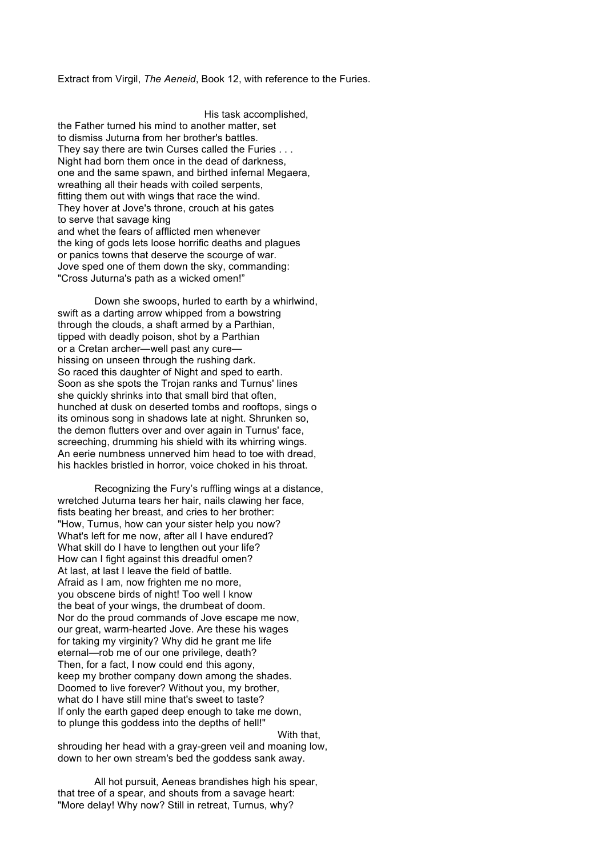Extract from Virgil, *The Aeneid*, Book 12, with reference to the Furies.

His task accomplished,

the Father turned his mind to another matter, set to dismiss Juturna from her brother's battles. They say there are twin Curses called the Furies . . . Night had born them once in the dead of darkness, one and the same spawn, and birthed infernal Megaera, wreathing all their heads with coiled serpents, fitting them out with wings that race the wind. They hover at Jove's throne, crouch at his gates to serve that savage king and whet the fears of afflicted men whenever the king of gods lets loose horrific deaths and plagues or panics towns that deserve the scourge of war. Jove sped one of them down the sky, commanding: "Cross Juturna's path as a wicked omen!"

Down she swoops, hurled to earth by a whirlwind, swift as a darting arrow whipped from a bowstring through the clouds, a shaft armed by a Parthian, tipped with deadly poison, shot by a Parthian or a Cretan archer—well past any cure hissing on unseen through the rushing dark. So raced this daughter of Night and sped to earth. Soon as she spots the Trojan ranks and Turnus' lines she quickly shrinks into that small bird that often, hunched at dusk on deserted tombs and rooftops, sings o its ominous song in shadows late at night. Shrunken so, the demon flutters over and over again in Turnus' face, screeching, drumming his shield with its whirring wings. An eerie numbness unnerved him head to toe with dread, his hackles bristled in horror, voice choked in his throat.

Recognizing the Fury's ruffling wings at a distance, wretched Juturna tears her hair, nails clawing her face, fists beating her breast, and cries to her brother: "How, Turnus, how can your sister help you now? What's left for me now, after all I have endured? What skill do I have to lengthen out your life? How can I fight against this dreadful omen? At last, at last I leave the field of battle. Afraid as I am, now frighten me no more, you obscene birds of night! Too well I know the beat of your wings, the drumbeat of doom. Nor do the proud commands of Jove escape me now, our great, warm-hearted Jove. Are these his wages for taking my virginity? Why did he grant me life eternal—rob me of our one privilege, death? Then, for a fact, I now could end this agony, keep my brother company down among the shades. Doomed to live forever? Without you, my brother, what do I have still mine that's sweet to taste? If only the earth gaped deep enough to take me down, to plunge this goddess into the depths of hell!"

With that, shrouding her head with a gray-green veil and moaning low, down to her own stream's bed the goddess sank away.

All hot pursuit, Aeneas brandishes high his spear, that tree of a spear, and shouts from a savage heart: "More delay! Why now? Still in retreat, Turnus, why?